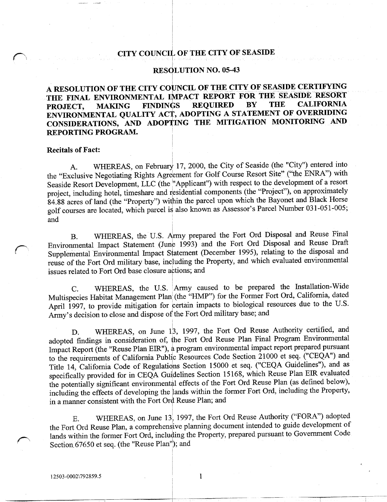## CITY COUNCIL OF THE CITY OF SEASIDE

#### RESOLUTION NO. 05-43

A RESOLUTION OF THE CITY COUNCIL OF THE CITY OF SEASIDE CERTIFYING THE FINAL ENVIRONMENTAL IMPACT REPORT FOR THE SEASIDE RESORT<br>PROJECT, MAKING FINDINGS REQUIRED BY THE CALIFORNIA PROJECT, MAKING FINDINGS REQUIRED BY THE CALIFORNIA ENVIRONMENTAL QUALITY ACT, ADOPTING A STATEMENT OF OVERRIDING PROJECT, MAKING FINDINGS REQUIRED BY THE CALIFORNIA<br>ENVIRONMENTAL\_QUALITY\_ACT, ADOPTING\_A\_STATEMENT\_OF\_OVERRIDING<br>CONSIDERATIONS, AND\_ADOPTING\_THE\_MITIGATION\_MONITORING\_AND REPORTING PROGRAM

### **Recitals of Fact:**

A. WHEREAS, on February 17, 2000, the City of Seaside (the "City") entered into the "Exclusive Negotiating Rights Agreement for Golf Course Resort Site" ("the ENRA") with Seaside Resort Development, LLC (the "Applicant") with respect to the development of a resort project, including hotel, timeshare and residential components (the "Project"), on approximately 84.88 acres of land (the "Property") within the parcel upon which the Bayonet and Black Horse<br>golf courses are located, which parcel is also known as Assessor's Parcel Number 031-051-005; A. WHEREAS, on February 17, 2000, the City of Seaside (the "City") entered into<br>the "Exclusive Negotiating Rights Agreement for Golf Course Resort Site" ("the ENRA") with<br>Seaside Resort Development, LLC (the "Applicant") w and

B. WHEREAS, the U.S. Army prepared the Fort Ord Disposal and Reuse Final Environmental Impact Statement (June 1993) and the Fort Ord Disposal and Reuse Draft Supplemental Environmental Impact Statement (December 1995), relating to the disposal and reuse of the Fort Ord military base, including the Property, and which evaluated environmental issues related to Fort Ord base closure actions; and

C. WHEREAS, the U.S. Army caused to be prepared the Installation-Wide Multispecies Habitat Management Plan (the "HMP") for the Former Fort Ord, California, dated Multispecies Habitat Management Plan (the "HMP") for the Former Fort Ord, California, dated<br>April 1997, to provide mitigation for certain impacts to biological resources due to the U.S. Multisp<br>April 1<br>Army's Army's decision to close and dispose of the Fort Ord military base; and

D. WHEREAS, on June 13, 1997, the Fort Ord Reuse Authority certified, and adopted findings in consideration of, the Fort Ord Reuse Plan Final Program Environmental Impact Report (the "Reuse Plan EIR"), a program environmental impact report prepared pursuant to the requirements of California Public Resources Code Section 21000 et seq. ("CEQA") and Title 14, California Code of Regulations Section 15000 et seq. ("CEQA Guidelines"), and as specifically provided for in CEQA Guidelines Section 15168, which Reuse Plan EIR evaluated the potentially significant environmental effects of the Fort Ord Reuse Plan (as defined below), including the effects of developing the lands within the former Fort Ord, including the Property, in a manner consistent with the Fort Ord Reuse Plan; and

E. WHEREAS, on June 13, 1997, the Fort Ord Reuse Authority ("FORA") adopted the Fort Ord Reuse Plan, a comprehensive planning document intended to guide development of lands within the former Fort Ord, including the Property, prepared pursuant to Government Code Section 67650 et seq. (the "Reuse Plan"); and E. WHERE Fort Ord Reus<br>
E. WHERE Fort Ord Reus<br>
Section 67650 et s<br>
12503-0002\792859.5

 $\mathbf{1}$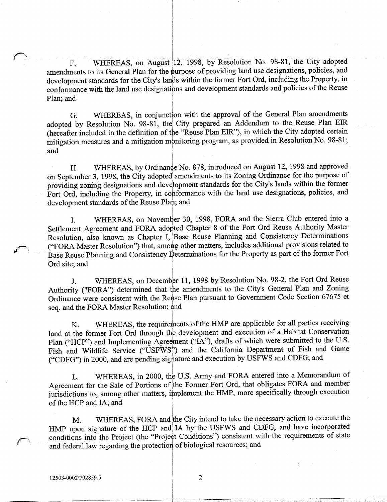F. WHEREAS, on August 12, 1998, by Resolution No. 98-81, the City adopted amendments to its General Plan for the purpose of providing land use designations, policies, and F. WHEREAS, on Augu<br>amendments to its General Plan for t<br>development standards for the City's<br>conformance with the land use design development standards for the City's lands within the former Fort Ord, including the Property, in conformance with the land use designations and development standards and policies ofthe Reuse Plan: and

G. WHEREAS, in conjunction with the approval of the General Plan amendments adopted by Resolution No. 98-81, the City prepared an Addendum to the Reuse Plan EIR (hereafter included in the definition of the "Reuse Plan EIR"), in which the City adopted certain mitigation measures and a mitigation monitoring program, as provided in Resolution No. 98-81; and

H. WHEREAS, by Ordinance No. 878, introduced on August 12, 1998 and approved on September 3, 1998, the City adopted amendments to its Zoning Ordinance for the purpose of providing zoning designations and development standards for the City's lands within the former Fort Ord, including the Property, in conformance with the land use designations, policies, and development standards of the Reuse Plan; and

I. WHEREAS, on November 30, 1998, FORA and the Sierra Club entered into a Settlement Agreement and FORA adopted Chapter <sup>8</sup> of the Fort Ord Reuse Authority Master Settlement Agreement and FORA adopted Chapter 8 of the Fort Ord Reuse Authority Master<br>Resolution, also known as Chapter I, Base Reuse Planning and Consistency Determinations<br>(i) Resolution Resolution<sup>2</sup>) that among other ("FORA Master Resolution") that, among other matters, includes additional provisions related to Base Reuse Planning and Consistency Determinations for the Property as part of the former Fort Ord site; and

J. WHEREAS, on December 11, 1998 by Resolution No. 98-2, the Fort Ord Reuse J. WHEREAS, on December 11, 1998 by Resolution No<br>Authority ("FORA") determined that the amendments to the City's<br>Ordinance were consistent with the Reuse Plan pursuant to Governm General Plan and Zoning Ordinance were consistent with the Reuse Plan pursuant to Government Code Section 67675 et seq. and the FORA Master Resolution; and

K. WHEREAS, the requirements of the HMP are applicable for all parties receiving land at the former Fort Ord through the development and execution of <sup>a</sup> Habitat Conservation Plan ("HCP") and Implementing Agreement ("IA"), drafts of which were submitted to the U.S. Fish and Wildlife Service ("USFWS") and the California Department of Fish and Game ("CDFG") in 2000, and are pending signature and execution by USFWS and CDFG; and

L. WHEREAS, in 2000, the U.S. Army and FORA entered into a Memorandum of Agreement for the Sale of Portions of the Former Fort Ord, that obligates FORA and member jurisdictions to, among other matters, implement the HMP, more specifically through execution of the HCP and IA; and

M. WHEREAS, FORA and the City intend to take the necessary action to execute the  $HMP$  upon signature of the  $HCP$  and  $IAP$  by the USFWS and CDFG, and have incorporated HMP upon signature of the HCP and IA by the USFWS and CDFG, and have incorporated conditions into the Project (the "Project Conditions") consistent with the requirements of state and federal law regarding the protection of M. WH<br>
HMP upon signat<br>
conditions into the<br>
and federal law re<br>
12503-0002\792859.5

 $\overline{2}$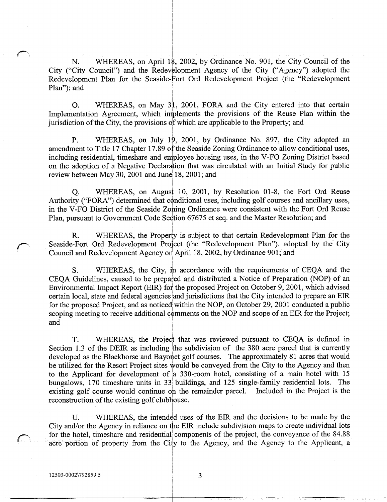N. WHEREAS, on April 18, 2002, by Ordinance No. 901, the City Council of the City ("City Council") and the Redevelopment Agency of the City ("Agency") adopted the<br>Redevelopment Plan for the Seaside-Fort Ord Redevelopment Project (the "Redevelopment Plan"); and

O. WHEREAS, on May 31, 2001, FORA and the City entered into that certain Implementation Agreement, which implements the provisions of the Reuse Plan within the jurisdiction of the City, the provisions of which are applicable to the Property; and

P. WHEREAS, on July 19, 2001, by Ordinance No. 897, the City adopted an P. WHEREAS, on July 19, 2001, by Ordinance No. 897, the City adopted an amendment to Title 17 Chapter 17.89 of the Seaside Zoning Ordinance to allow conditional uses, including residential, timeshare and employee housing u on the adoption of a Negative Declaration that was circulated with an Initial Study for public review between May 30, 2001 and June 18, 2001; and

Q. WHEREAS, on August 10, 2001, by Resolution 01-8, the Fort Ord Reuse Authority ("FORA") determined that conditional uses, including golf courses and ancillary uses, in the V-FO District of the Seaside Zoning Ordinance were consistent with the Fort Ord Reuse Plan, pursuant to Government Code Section 67675 et seq. and the Master Resolution; and

R. WHEREAS, the Property is subject to that certain Redevelopment Plan for the Seaside-Fort Ord Redevelopment Project (the "Redevelopment Plan"), adopted by the City Council and Redevelopment Agency on April 18, 2002, by Ordinance 901; and

S. WHEREAS, the City, in accordance with the requirements of CEQA and the CEQA Guidelines, caused to be prepared and distributed a Notice of Preparation (NOP) of an Environmental Impact Report (EIR) for the proposed Project on October 9, 2001, which advised certain local, state and federal agencies and jurisdictions that the City intended to prepare an EIR for the proposed Project, and as noticed within the NOP, on October 29, 2001 conducted a public scoping meeting to receive additional comments on the NOP and scope of an EIR for the Project; and

T. WHEREAS, the Project that was reviewed pursuant to CEQA is defined in Section 1.3 of the DEIR as including the subdivision of the 380 acre parcel that is currently developed as the Blackhorse and Bayonet golf courses. The approximately 81 acres that would be utilized for the Resort Project sites would be conveyed from the City to the Agency and then to the Applicant for development of a 330-room hotel, consisting of a main hotel with 15<br>bungalows 170 timeshare units in 33 buildings, and 125 single-family residential lots. The bungalows, 170 timeshare units in 33 buildings, and 125 single-family residential lots. The existing golf course would continue on the remainder parcel. Included in the Project is the existing golf course would continue on the remainder parcel. reconstruction of the existing golf clubhouse.

U. WHEREAS, the intended uses of the EIR and the decisions to be made by the U. WHEREAS, the intended uses of the EIR and the decisions to be made by the City and/or the Agency in reliance on the EIR include subdivision maps to create individual lots for the hotel timeshere and residential componen for the hotel, timeshare and residential components of the project, the conveyance of the 84.88 acre portion of property from the City to the Agency, and the Agency to the Applicant, a teconstruction of the Magnetics of the Agency<br>12503 0002\792859.5<br>12503 0002\792859.5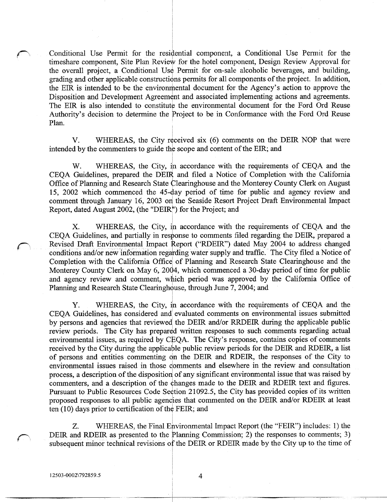Conditional Use Permit for the residential component, a Conditional Use Permit for the timeshare component, Site Plan Review for the hotel component, Design Review Approval for<br>the overall project, a Conditional Use Permit for on-sale alcoholic beverages, and building, grading and other applicable constructions permits for all components of the project. In addition, Conditional Use Permit for the residential component, a Conditional<br>timeshare component, Site Plan Review for the hotel component, Design<br>the overall project, a Conditional Use Permit for on-sale alcoholic bev<br>grading and the EIR is intended to be the environmental document for the Agency's action to approve the Disposition and Development Agreement and associated implementing actions and agreements The EIR is also intended to constitute the environmental document for the Ford Ord Reuse timeshare co<br>the overall<br>grading and<br>the EIR is i<br>Disposition<br>The EIR is<br>Authority's<br>Plan. Authority's decision to determine the Project to be in Conformance with the Ford Ord Reuse Plan. rall project, a Conditional Use Permit for on-sale alcoholic beverages, and building,<br>and other applicable constructions permits for all components of the project. In addition,<br>i is intended to be the environmental documen

V. WHEREAS, the City received six (6) comments on the DEIR NOP that were intended by the commenters to guide the scope and content of the EIR; and

ty's decision to determine the Project to be in Conformance with the Ford Or<br>V. WHEREAS, the City received six (6) comments on the DEIR NOP th<br>d by the commenters to guide the scope and content of the EIR; and<br>W. WHEREAS, 15, 2002 which commenced the 45-day period of time for public and agency review and comment through January 16, 2003 on the Seaside Resort Project Draft Environmental Impact Report, dated August 2002, (the "DEIR") for the Project; and

WHEREAS, the City, in accordance with the requirements of CEQA and the Х. CEQA Guidelines, and partially in response to comments filed regarding the DEIR, prepared a Revised Draft Environmental Impact Report ("RDEIR") dated May 2004 to address changed conditions and/or new information regarding water supply and traffic. The City filed a Notice of Completion with the California Office of Planning and Research State Clearinghouse and the Monterey County Clerk on May 6, 2004, which commenced a 30-day period of time for public and agency review and comment, which period was approved by the California Office of Planning and Research State Clearinghouse, through June 7, 2004; and

Y. WHEREAS, the City, in accordance with the requirements of CEQA and the CEQA Guidelines, has considered and evaluated comments on environmental issues submitted by persons and agencies that reviewed the DEIR and/or RRDEIR during the applicable public review periods. The City has prepared written responses to such comments regarding actual environmental issues, as required by CEQA. The City's response, contains copies of comments received by the City during the applicable public review periods for the DEIR and RDEIR, a list of persons and entities commenting on the DEIR and RDEIR, the responses of the City to environmental issues raised in those comments and elsewhere in the review and consultation process, a description of the disposition of any significant environmental issue that was raised by commenters, and a description of the changes made to the DEIR and RDEIR text and figures. Pursuant to Public Resources Code Section 21092.5, the City has provided copies of its written proposed responses to all public agencies that commented on the DEIR and/or RDEIR at least ten (10) days prior to certification of the FEIR; and

WHEREAS, the Final Environmental Impact Report (the "FEIR") includes: 1) the Z. DEIR and RDEIR as presented to the Planning Commission; 2) the responses to comments; 3) subsequent minor technical revisions of the DEIR or RDEIR made by the City up to the time of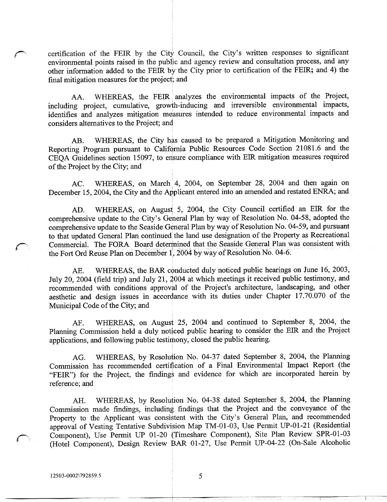certification of the FEIR by the City Council, the City's<br>environmental points raised in the public and agency review written responses to significant environmental points raised in the public and agency review and consultation process, and any other information added to the FEIR by the City prior to certification of the FEIR; and 4) the final mitigation measures for the project; and

AA. WHEREAS, the FEIR analyzes the environmental impacts of the Project, including project, cumulative, growth-inducing and irreversible environmental impacts, identifies and analyzes mitigation measures intended to reduce environmental impacts and considers alternatives to the Project; and

AB. WHEREAS, the City has caused to be prepared a Mitigation Monitoring and Reporting Program pursuant to California Public Resources Code Section 21081.6 and the CEQA Guidelines section 15097 to ensure compliance with EIR mitigation measures required of the Project by the City; and

AC. WHEREAS, on March 4, 2004, on September 28, 2004 and then again on December 15, 2004, the City and the Applicant entered into an amended and restated ENRA; and

AD. WHEREAS, on August 5, 2004, the City Council certified an EIR for the December 15, 2004, the City and the<br>AD. WHEREAS, on Aug<br>comprehensive update to the City's<br>comprehensive update to the Seaside General Plan by way of Resolution No 0458 adopted the comprehensive update to the Seaside General Plan by way of Resolution No. 04-59, and pursuant to that updated General Plan continued the land use designation of the Property as Recreational Commercial. The FORA Board determined that the Seaside General Plan was consistent with the Fort Ord Reuse Plan on December 1, 2004 by way of Resolution No. 04-6.

AE. WHEREAS, the BAR conducted duly noticed public hearings on June 16, 2003, July 20, 2004 (field trip) and July 21, 2004 at which meetings it received public testimony, and the Fort Ord Reuse Plan on December 1, 2004 by way of Resolution No. 04-6.<br>
AE. WHEREAS, the BAR conducted duly noticed public hearings on June 16, 2003,<br>
July 20, 2004 (field trip) and July 21, 2004 at which meetings it r recommended with conditions approval of the Project's architecture, landscaping, and other aesthetic and design issues in accordance with its duties under Chapter 17.70.070 of the Municipal Code of the City; and

AF. WHEREAS, on August 25, 2004 and continued to September 8, 2004, the Planning Commission held a duly noticed public hearing to consider the EIR and the Project applications, and following public testimony, closed the public hearing.

AG. WHEREAS, by Resolution No. 04-37 dated September 8, 2004, the Planning Commission has recommended certification of a Final Environmental Impact Report the "FEIR") for the Project, the findings and evidence for which are incorporated herein by reference; and

AH. WHEREAS, by Resolution No. 04-38 dated September 8, 2004, the Planning Commission made findings including findings that the Project and the conveyance of the AH. WHEREAS, by Resolution No. 04-38 dated<br>Commission made findings, including findings that the P<br>Property to the Applicant was consistent with the City's<br>approval of Vesting Tentative Subdivision Map TM-01-03, General Plan, and recommended Commission made findings, including findings that the Project and the conveyance of the<br>Property to the Applicant was consistent with the City's General Plan, and recommended<br>approval of Vesting Tentative Subdivision Map T Property to the Applicant was consistent with the City's General Plan, and recommended<br>approval of Vesting Tentative Subdivision Map TM-01-03, Use Permit UP-01-21 (Residential<br>Component), Use Permit UP 01-20 (Timeshare Com approval of Vesting Tentative Subdivision Map TM-01-03, Use Permit UP-01-21 (Residential Component), Use Permit UP 01-20 (Timeshare Component), Site Plan Review SPR-01-03 (Hotel Component), Design Review BAR 01-27, Use Per France Commission mad<br>Property to the Approval of Vestin<br>Component), Use<br>(Hotel Componen<br>12503-0002\792859.5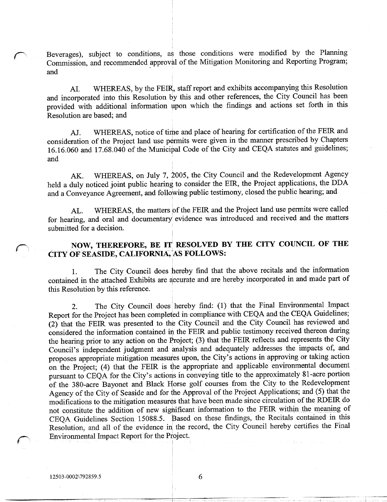Beverages), subject to conditions, as those conditions were modified by the Planning Commission, and recommended approval of the Mitigation Monitoring and Reporting Program; and

AI. WHEREAS, by the FEIR, staff report and exhibits accompanying this Resolution and incorporated into this Resolution by this and other references the City Council has been provided with additional information upon which the findings and actions set forth in this Resolution are based: and

AJ. WHEREAS, notice of time and place of hearing for certification of the FEIR and consideration of the Project land use permits were given in the manner prescribed by Chapters AJ. WHEREAS, notice of time and place of hearing for certification of the FEIR and<br>consideration of the Project land use permits were given in the manner prescribed by Chapters<br>16.16.060 and 17.68.040 of the Municipal Code and

AK. WHEREAS, on July 7, 2005, the City Council and the Redevelopment Agency held a duly noticed joint public hearing to consider the EIR, the Project applications, the DDA and a Conveyance Agreement, and following public testimony, closed the public hearing; and

AL. WHEREAS, the matters of the FEIR and the Project land use permits were called for hearing, and oral and documentary evidence was introduced and received and the matters submitted for a decision.

# NOW, THEREFORE, BE IT RESOLVED BY THE CITY COUNCIL OF THE CITY OF SEASIDE, CALIFORNIA, AS FOLLOWS:

1. The City Council does hereby find that the above recitals and the information contained in the attached Exhibits are accurate and are hereby incorporated in and made part of this Resolution by this reference

2. The City Council does hereby find: (1) that the Final Environmental Impact Report for the Project has been completed in compliance with CEQA and the CEQA Guidelines  $(2)$  that the FEIR was presented to the City Council and the City Council has reviewed and considered the information contained in the FEIR and public testimony received thereon during the hearing prior to any action on the Project; (3) that the FEIR reflects and represents the City<br>the hearing prior to any action on the Project; (3) that the FEIR reflects and represents the City 2. The City Council does hereby find. (1) that the That Environmental Express.<br>Report for the Project has been completed in compliance with CEQA and the CEQA Guidelines;<br>(2) that the FEIR was presented to the City Council Council's independent judgment and analysis and adequately addresses the impacts of, and proposes appropriate mitigation measures upon, the City's actions in approving or taking action on the Project; (4) that the FEIR is the appropriate and applicable environmental document pursuant to CEQA for the City's actions in conveying title to the approximately 81-acre portion of the 380 acre Bayonet and Black Horse golf courses from the City to the Redevelopment Agency of the City of Seaside and for the Approval of the Project Applications; and (5) that the modifications to the mitigation measures that have been made since circulation of the RDEIR do not constitute the addition of new significant information to the FEIR within the meaning of CEQA Guidelines Section 15088.5. Based on these findings, the Recitals contained in this of the 380-acre Bayonet and Black Horse golf courses from the City to the Redevelopment<br>Agency of the City of Seaside and for the Approval of the Project Applications; and (5) that the<br>modifications to the mitigation measu Environmental Impact Report for the Project modifications to the imaginon measures that have<br>not constitute the addition of new significant in<br>CEQA Guidelines Section 15088.5. Based on<br>Resolution, and all of the evidence in the recor<br>Environmental Impact Report for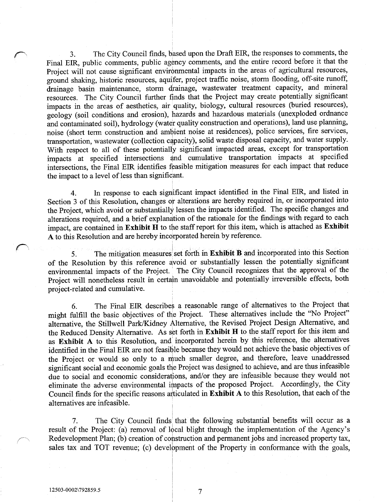3. The City Council finds, based upon the Draft EIR, the responses to comments, the Final EIR, public comments, public agency comments, and the entire record before it that the Project will not cause significant environmental impacts in the areas of agricultural resources, ground shaking, historic resources, aquifer, project traffic noise, storm flooding, off-site runoff, ground shaking, historic resources, aquifer, project traffic noise, storm flooding, off-site runoff, drainage basin maintenance, storm drainage, wastewater treatment capacity, and mineral resources The City Council further finds that the Project may create potentially significant impacts in the areas of aesthetics, air quality, biology, cultural resources (buried resources), geology (soil conditions and erosion), hazards and hazardous materials (unexploded ordnance and contaminated soil), hydrology (water quality construction and operations), land use planning, noise (short term construction and ambient noise at residences), police services, fire services, transportation, wastewater (collection capacity), solid waste disposal capacity, and water supply. With respect to all of these potentially significant impacted areas, except for transportation impacts at specified intersections and cumulative transportation impacts at specified intersections, the Final EIR identifies feasible mitigation measures for each impact that reduce the impact to a level of less than significant.

4 In response to each significant impact identified in the Final EIR and listed in Section 3 of this Resolution, changes or alterations are hereby required in, or incorporated into the Project, which avoid or substantially lessen the impacts identified. The specific changes and alterations required, and a brief explanation of the rationale for the findings with regard to each impact, are contained in Exhibit H to the staff report for this item, which is attached as Exhibit A to this Resolution and are hereby incorporated herein by reference

5. The mitigation measures set forth in Exhibit B and incorporated into this Section of the Resolution by this reference avoid or substantially lessen the potentially significant environmental impacts of the Project. The City Council recognizes that the approval of the Project will nonetheless result in certain unavoidable and potentially irreversible effects, both project-related and cumulative.

6 The Final EIR describes a reasonable range of alternatives to the Project that might fulfill the basic objectives of the Project. These alternatives include the "No Project" alternative, the Stillwell Park/Kidney Alternative, the Revised Project Design Alternative, and the Reduced Density Alternative. As set forth in Exhibit H to the staff report for this item and as Exhibit A to this Resolution, and incorporated herein by this reference, the alternatives identified in the Final EIR are not feasible because they wouldnot achieve the basic objectives of the Project or would so only to a much smaller degree, and therefore, leave unaddressed significant social and economic goals the Project was designed to achieve, and are thus infeasible<br>due to social and economic considerations, and/or they are infeasible because they would not 6. The Final EIR describes a reasonable range of alternatives to the Project that might fulfill the basic objectives of the Project. These alternatives include the "No Project" alternative, the Stillwell Park/Kidney Altern alternatives are infeasible

Example 11 and the specific reasons articulated in **Exhibit A** to this Resolution, that each of the alternatives are infeasible.<br>
7. The City Council finds that the following substantial benefits will occur as a result of 7. The City Council finds that the following substantial benefits will occur as a result of the Project: (a) removal of local blight through the implementation of the Agency's Redevelopment Plan; (b) creation of construction and permanent jobs and increased property tax, sales tax and TOT revenue; (c) development of the Property in conformance with the goals, sales tax and TOT revenue; (c) development of the Property in conformance with the goals, 7. The<br>result of the Proje<br>Redevelopment Pl<br>sales tax and TO<br>12503-0002\792859.5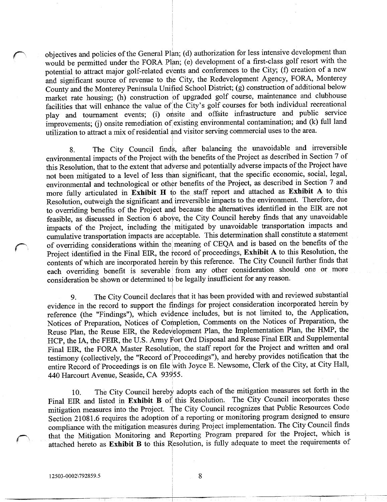objectives and policies of the General Plan; (d) authorization for less intensive development than objectives and policies of the General Plan; (d) authorization for less intensive development than<br>would be permitted under the FORA Plan; (e) development of a first-class golf resort with the potential to attract major golf-related events and conferences to the City; (f)<br>potential to attract major golf-related events and conferences to the City; (f)<br>and significant course of revenue to the City the Redevelopmen potential to attract major golf-related events and conferences to the City; (f) creation of a new and significant source of revenue to the City, the Redevelopment Agency, FORA, Monterey County and the Monterey Peninsula Unified School District; (g) construction of additional below market rate housing; (h) construction of upgraded golf course, maintenance and clubhouse France of the value of the City, the Redevelopment Figure,  $\frac{1}{2}$  and the Monterey Peninsula Unified School District; (g) construction of additional below market rate housing; (h) construction of upgraded golf course, m market rate housing; (h) constructificalities that will enhance the value<br>play and tournament events; (i)<br>improvements; (j) onsite remediation onsite and offsite infrastructure and public service facilities that will<br>play and tourna<br>improvements; (j)<br>utilization to attra ment events; (i) onsite and offsite infrastructure and public service<br>onsite remediation of existing environmental contamination; and (k) full land utilization to attract a mix of residential and visitor serving commercial uses to the area.

8. The City Council finds, after balancing the unavoidable and irreversible environmental impacts of the Project with the benefits of the Project as described in Section 7 of this Resolution, that to the extent that adverse and potentially adverse impacts of the Project have not been mitigated to a level of less than significant, that the specific economic, social, legal, environmental and technological or other benefits of the Project, as described in Section 7 and more fully articulated in Exhibit H to the staff report and attached as Exhibit A to this Resolution, outweigh the significant and irreversible impacts to the environment. Therefore, due to overriding benefits of the Project and because the alternatives identified in the EIR are not feasible, as discussed in Section 6 above, the City Council hereby finds that any unavoidable impacts of the Project, including the mitigated by unavoidable transportation impacts and cumulative transportation impacts are acceptable. This determination shall constitute a statement of overriding considerations within the meaning of CEQA and is based on the benefits of the Project identified in the Final EIR, the record of proceedings, Exhibit A to this Resolution, the contents of which are incorporated herein by this reference. The City Council further finds that each overriding benefit is severable from any other consideration should one or more consideration be shown or determined to be legally insufficient for any reason.

9. The City Council declares that it has been provided with and reviewed substantial evidence in the record to support the findings for project consideration incorporated herein by reference (the "Findings"), which evidence includes, but is not limited to, the Application, Notices of Preparation, Notices of Completion, Comments on the Notices of Preparation, the Reuse Plan, the Reuse EIR, the Redevelopment Plan, the Implementation Plan, the HMP, the HCP, the IA, the FEIR, the U.S. Army Fort Ord Disposal and Reuse Final EIR and Supplemental Final EIR, the FORA Master Resolution, the staff report for the Project and written and oral testimony (collectively, the "Record of Proceedings"), and hereby provides notification that the entire Record of Proceedings is on file with Joyce E. Newsome, Clerk of the City, at City Hall, 440 Harcourt Avenue, Seaside, CA 93955.

10. The City Council hereby adopts each of the mitigation measures set forth in the Final EIR and listed in Exhibit B of this Resolution. The City Council incorporates these Final EIR and listed in Exhibit B of this Resolution. The City Council incorporates these<br>mitigation measures into the Project. The City Council recognizes that Public Resources Code 10. The City Council hereby add<br>Final EIR and listed in **Exhibit B** of this<br>mitigation measures into the Project. The<br>Section 21081.6 requires the adoption of a<br>compliance with the mitigation measures du Section 21081.6 requires the adoption of a reporting or monitoring program designed to ensure compliance with the mitigation measures during Project implementation The City Council finds that the Mitigation Monitoring and Reporting Program prepared for the Project, which is attached hereto as Exhibit B to this Resolution, is fully adequate to meet the requirements of mitigation measures into the Project. The City of<br>Section 21081.6 requires the adoption of a report<br>compliance with the mitigation measures during<br>that the Mitigation Monitoring and Reporting<br>attached hereto as **Exhibit B**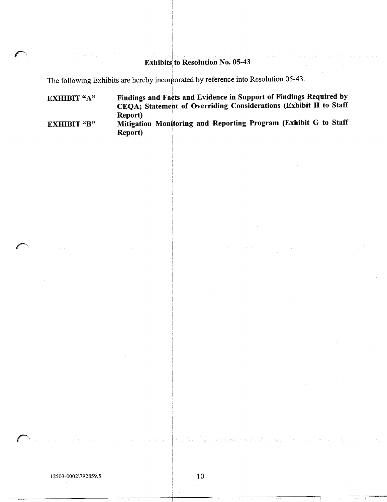## Exhibits to Resolution No. 05-43

The following Exhibits are hereby incorporated by reference into Resolution 05-43.

EXHIBIT "A" EXHIBIT "B" Findings and Facts and Evidence in Support of Findings Required by CEQA; Statement of Overriding Considerations (Exhibit H to Staff Report Mitigation Monitoring and Reporting Program (Exhibit G to Staff Report

<sup>12503</sup> <sup>0002</sup> 7928595 <sup>10</sup>

and a substance of